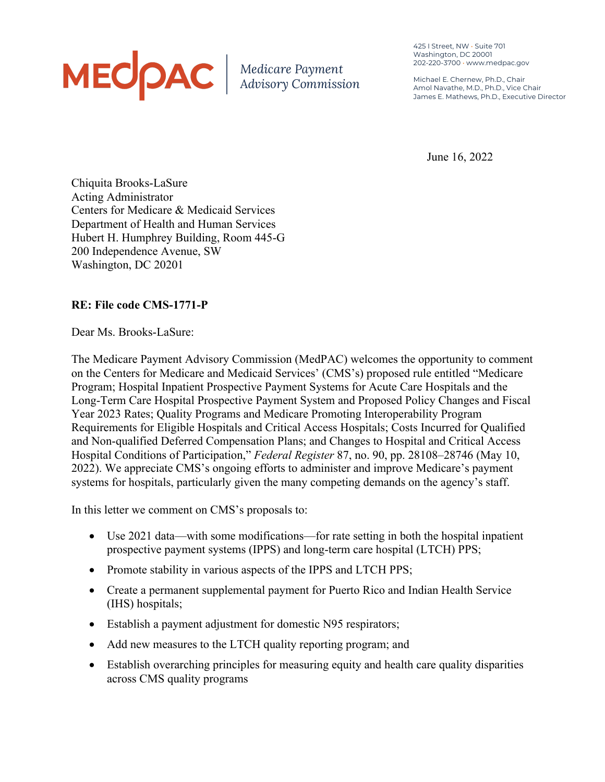# MECOAC | Medicare Payment

425 I Street, NW • Suite 701 Washington, DC 20001 202-220-3700 • www.medpac.gov

Michael E. Chernew, Ph.D., Chair Amol Navathe, M.D., Ph.D., Vice Chair James E. Mathews, Ph.D., Executive Director

June 16, 2022

Chiquita Brooks-LaSure Acting Administrator Centers for Medicare & Medicaid Services Department of Health and Human Services Hubert H. Humphrey Building, Room 445-G 200 Independence Avenue, SW Washington, DC 20201

# **RE: File code CMS-1771-P**

Dear Ms. Brooks-LaSure:

The Medicare Payment Advisory Commission (MedPAC) welcomes the opportunity to comment on the Centers for Medicare and Medicaid Services' (CMS's) proposed rule entitled "Medicare Program; Hospital Inpatient Prospective Payment Systems for Acute Care Hospitals and the Long-Term Care Hospital Prospective Payment System and Proposed Policy Changes and Fiscal Year 2023 Rates; Quality Programs and Medicare Promoting Interoperability Program Requirements for Eligible Hospitals and Critical Access Hospitals; Costs Incurred for Qualified and Non-qualified Deferred Compensation Plans; and Changes to Hospital and Critical Access Hospital Conditions of Participation," *Federal Register* 87, no. 90, pp. 28108–28746 (May 10, 2022). We appreciate CMS's ongoing efforts to administer and improve Medicare's payment systems for hospitals, particularly given the many competing demands on the agency's staff.

In this letter we comment on CMS's proposals to:

- Use 2021 data—with some modifications—for rate setting in both the hospital inpatient prospective payment systems (IPPS) and long-term care hospital (LTCH) PPS;
- Promote stability in various aspects of the IPPS and LTCH PPS;
- Create a permanent supplemental payment for Puerto Rico and Indian Health Service (IHS) hospitals;
- Establish a payment adjustment for domestic N95 respirators;
- Add new measures to the LTCH quality reporting program; and
- Establish overarching principles for measuring equity and health care quality disparities across CMS quality programs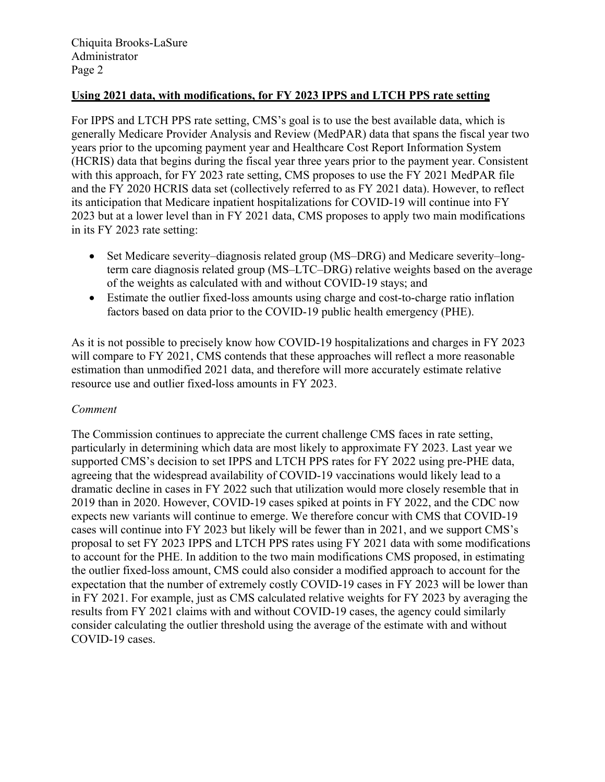## **Using 2021 data, with modifications, for FY 2023 IPPS and LTCH PPS rate setting**

For IPPS and LTCH PPS rate setting, CMS's goal is to use the best available data, which is generally Medicare Provider Analysis and Review (MedPAR) data that spans the fiscal year two years prior to the upcoming payment year and Healthcare Cost Report Information System (HCRIS) data that begins during the fiscal year three years prior to the payment year. Consistent with this approach, for FY 2023 rate setting, CMS proposes to use the FY 2021 MedPAR file and the FY 2020 HCRIS data set (collectively referred to as FY 2021 data). However, to reflect its anticipation that Medicare inpatient hospitalizations for COVID-19 will continue into FY 2023 but at a lower level than in FY 2021 data, CMS proposes to apply two main modifications in its FY 2023 rate setting:

- Set Medicare severity–diagnosis related group (MS–DRG) and Medicare severity–longterm care diagnosis related group (MS–LTC–DRG) relative weights based on the average of the weights as calculated with and without COVID-19 stays; and
- Estimate the outlier fixed-loss amounts using charge and cost-to-charge ratio inflation factors based on data prior to the COVID-19 public health emergency (PHE).

As it is not possible to precisely know how COVID-19 hospitalizations and charges in FY 2023 will compare to FY 2021, CMS contends that these approaches will reflect a more reasonable estimation than unmodified 2021 data, and therefore will more accurately estimate relative resource use and outlier fixed-loss amounts in FY 2023.

## *Comment*

The Commission continues to appreciate the current challenge CMS faces in rate setting, particularly in determining which data are most likely to approximate FY 2023. Last year we supported CMS's decision to set IPPS and LTCH PPS rates for FY 2022 using pre-PHE data, agreeing that the widespread availability of COVID-19 vaccinations would likely lead to a dramatic decline in cases in FY 2022 such that utilization would more closely resemble that in 2019 than in 2020. However, COVID-19 cases spiked at points in FY 2022, and the CDC now expects new variants will continue to emerge. We therefore concur with CMS that COVID-19 cases will continue into FY 2023 but likely will be fewer than in 2021, and we support CMS's proposal to set FY 2023 IPPS and LTCH PPS rates using FY 2021 data with some modifications to account for the PHE. In addition to the two main modifications CMS proposed, in estimating the outlier fixed-loss amount, CMS could also consider a modified approach to account for the expectation that the number of extremely costly COVID-19 cases in FY 2023 will be lower than in FY 2021. For example, just as CMS calculated relative weights for FY 2023 by averaging the results from FY 2021 claims with and without COVID-19 cases, the agency could similarly consider calculating the outlier threshold using the average of the estimate with and without COVID-19 cases.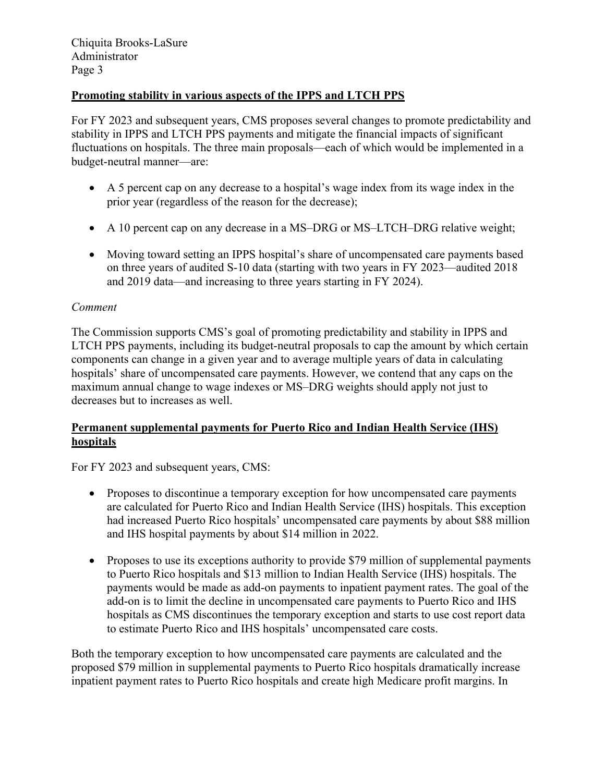# **Promoting stability in various aspects of the IPPS and LTCH PPS**

For FY 2023 and subsequent years, CMS proposes several changes to promote predictability and stability in IPPS and LTCH PPS payments and mitigate the financial impacts of significant fluctuations on hospitals. The three main proposals—each of which would be implemented in a budget-neutral manner—are:

- A 5 percent cap on any decrease to a hospital's wage index from its wage index in the prior year (regardless of the reason for the decrease);
- A 10 percent cap on any decrease in a MS–DRG or MS–LTCH–DRG relative weight;
- Moving toward setting an IPPS hospital's share of uncompensated care payments based on three years of audited S-10 data (starting with two years in FY 2023—audited 2018 and 2019 data—and increasing to three years starting in FY 2024).

## *Comment*

The Commission supports CMS's goal of promoting predictability and stability in IPPS and LTCH PPS payments, including its budget-neutral proposals to cap the amount by which certain components can change in a given year and to average multiple years of data in calculating hospitals' share of uncompensated care payments. However, we contend that any caps on the maximum annual change to wage indexes or MS–DRG weights should apply not just to decreases but to increases as well.

## **Permanent supplemental payments for Puerto Rico and Indian Health Service (IHS) hospitals**

For FY 2023 and subsequent years, CMS:

- Proposes to discontinue a temporary exception for how uncompensated care payments are calculated for Puerto Rico and Indian Health Service (IHS) hospitals. This exception had increased Puerto Rico hospitals' uncompensated care payments by about \$88 million and IHS hospital payments by about \$14 million in 2022.
- Proposes to use its exceptions authority to provide \$79 million of supplemental payments to Puerto Rico hospitals and \$13 million to Indian Health Service (IHS) hospitals. The payments would be made as add-on payments to inpatient payment rates. The goal of the add-on is to limit the decline in uncompensated care payments to Puerto Rico and IHS hospitals as CMS discontinues the temporary exception and starts to use cost report data to estimate Puerto Rico and IHS hospitals' uncompensated care costs.

Both the temporary exception to how uncompensated care payments are calculated and the proposed \$79 million in supplemental payments to Puerto Rico hospitals dramatically increase inpatient payment rates to Puerto Rico hospitals and create high Medicare profit margins. In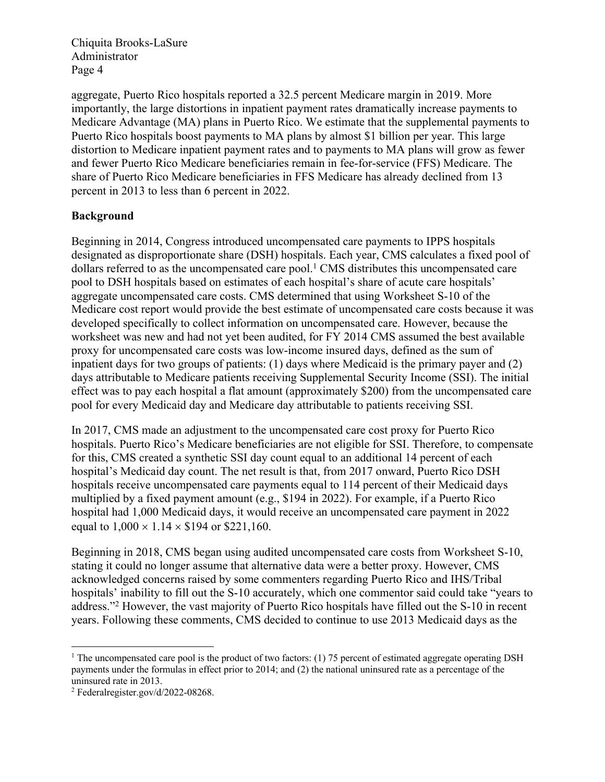aggregate, Puerto Rico hospitals reported a 32.5 percent Medicare margin in 2019. More importantly, the large distortions in inpatient payment rates dramatically increase payments to Medicare Advantage (MA) plans in Puerto Rico. We estimate that the supplemental payments to Puerto Rico hospitals boost payments to MA plans by almost \$1 billion per year. This large distortion to Medicare inpatient payment rates and to payments to MA plans will grow as fewer and fewer Puerto Rico Medicare beneficiaries remain in fee-for-service (FFS) Medicare. The share of Puerto Rico Medicare beneficiaries in FFS Medicare has already declined from 13 percent in 2013 to less than 6 percent in 2022.

## **Background**

Beginning in 2014, Congress introduced uncompensated care payments to IPPS hospitals designated as disproportionate share (DSH) hospitals. Each year, CMS calculates a fixed pool of dollars referred to as the uncompensated care pool.<sup>1</sup> CMS distributes this uncompensated care pool to DSH hospitals based on estimates of each hospital's share of acute care hospitals' aggregate uncompensated care costs. CMS determined that using Worksheet S-10 of the Medicare cost report would provide the best estimate of uncompensated care costs because it was developed specifically to collect information on uncompensated care. However, because the worksheet was new and had not yet been audited, for FY 2014 CMS assumed the best available proxy for uncompensated care costs was low-income insured days, defined as the sum of inpatient days for two groups of patients: (1) days where Medicaid is the primary payer and (2) days attributable to Medicare patients receiving Supplemental Security Income (SSI). The initial effect was to pay each hospital a flat amount (approximately \$200) from the uncompensated care pool for every Medicaid day and Medicare day attributable to patients receiving SSI.

In 2017, CMS made an adjustment to the uncompensated care cost proxy for Puerto Rico hospitals. Puerto Rico's Medicare beneficiaries are not eligible for SSI. Therefore, to compensate for this, CMS created a synthetic SSI day count equal to an additional 14 percent of each hospital's Medicaid day count. The net result is that, from 2017 onward, Puerto Rico DSH hospitals receive uncompensated care payments equal to 114 percent of their Medicaid days multiplied by a fixed payment amount (e.g., \$194 in 2022). For example, if a Puerto Rico hospital had 1,000 Medicaid days, it would receive an uncompensated care payment in 2022 equal to  $1,000 \times 1.14 \times $194$  or \$221,160.

Beginning in 2018, CMS began using audited uncompensated care costs from Worksheet S-10, stating it could no longer assume that alternative data were a better proxy. However, CMS acknowledged concerns raised by some commenters regarding Puerto Rico and IHS/Tribal hospitals' inability to fill out the S-10 accurately, which one commentor said could take "years to address."2 However, the vast majority of Puerto Rico hospitals have filled out the S-10 in recent years. Following these comments, CMS decided to continue to use 2013 Medicaid days as the

<sup>&</sup>lt;sup>1</sup> The uncompensated care pool is the product of two factors: (1) 75 percent of estimated aggregate operating DSH payments under the formulas in effect prior to 2014; and (2) the national uninsured rate as a percentage of the uninsured rate in 2013.

<sup>2</sup> Federalregister.gov/d/2022-08268.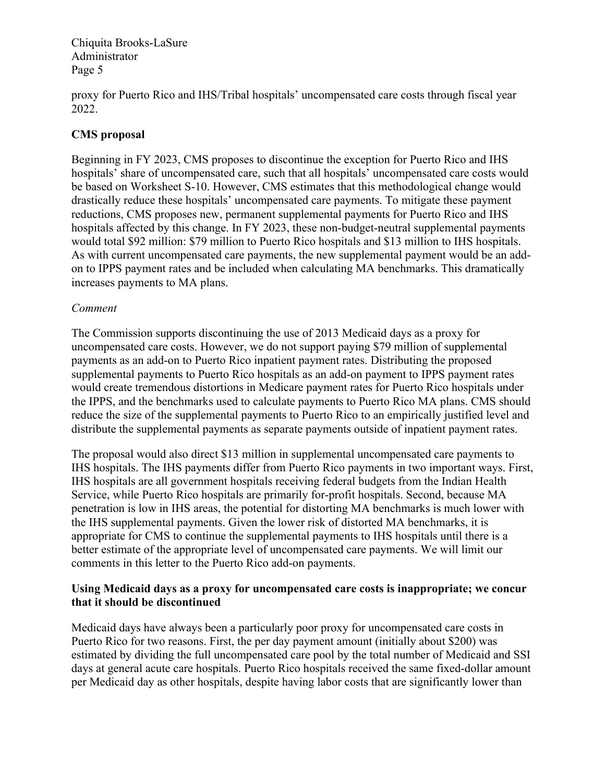proxy for Puerto Rico and IHS/Tribal hospitals' uncompensated care costs through fiscal year 2022.

# **CMS proposal**

Beginning in FY 2023, CMS proposes to discontinue the exception for Puerto Rico and IHS hospitals' share of uncompensated care, such that all hospitals' uncompensated care costs would be based on Worksheet S-10. However, CMS estimates that this methodological change would drastically reduce these hospitals' uncompensated care payments. To mitigate these payment reductions, CMS proposes new, permanent supplemental payments for Puerto Rico and IHS hospitals affected by this change. In FY 2023, these non-budget-neutral supplemental payments would total \$92 million: \$79 million to Puerto Rico hospitals and \$13 million to IHS hospitals. As with current uncompensated care payments, the new supplemental payment would be an addon to IPPS payment rates and be included when calculating MA benchmarks. This dramatically increases payments to MA plans.

## *Comment*

The Commission supports discontinuing the use of 2013 Medicaid days as a proxy for uncompensated care costs. However, we do not support paying \$79 million of supplemental payments as an add-on to Puerto Rico inpatient payment rates. Distributing the proposed supplemental payments to Puerto Rico hospitals as an add-on payment to IPPS payment rates would create tremendous distortions in Medicare payment rates for Puerto Rico hospitals under the IPPS, and the benchmarks used to calculate payments to Puerto Rico MA plans. CMS should reduce the size of the supplemental payments to Puerto Rico to an empirically justified level and distribute the supplemental payments as separate payments outside of inpatient payment rates.

The proposal would also direct \$13 million in supplemental uncompensated care payments to IHS hospitals. The IHS payments differ from Puerto Rico payments in two important ways. First, IHS hospitals are all government hospitals receiving federal budgets from the Indian Health Service, while Puerto Rico hospitals are primarily for-profit hospitals. Second, because MA penetration is low in IHS areas, the potential for distorting MA benchmarks is much lower with the IHS supplemental payments. Given the lower risk of distorted MA benchmarks, it is appropriate for CMS to continue the supplemental payments to IHS hospitals until there is a better estimate of the appropriate level of uncompensated care payments. We will limit our comments in this letter to the Puerto Rico add-on payments.

## **Using Medicaid days as a proxy for uncompensated care costs is inappropriate; we concur that it should be discontinued**

Medicaid days have always been a particularly poor proxy for uncompensated care costs in Puerto Rico for two reasons. First, the per day payment amount (initially about \$200) was estimated by dividing the full uncompensated care pool by the total number of Medicaid and SSI days at general acute care hospitals. Puerto Rico hospitals received the same fixed-dollar amount per Medicaid day as other hospitals, despite having labor costs that are significantly lower than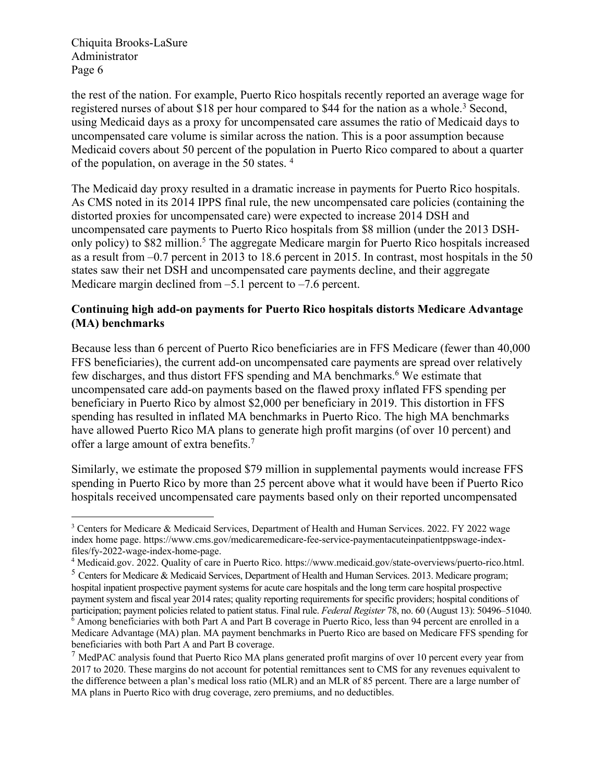the rest of the nation. For example, Puerto Rico hospitals recently reported an average wage for registered nurses of about \$18 per hour compared to \$44 for the nation as a whole.<sup>3</sup> Second, using Medicaid days as a proxy for uncompensated care assumes the ratio of Medicaid days to uncompensated care volume is similar across the nation. This is a poor assumption because Medicaid covers about 50 percent of the population in Puerto Rico compared to about a quarter of the population, on average in the 50 states. 4

The Medicaid day proxy resulted in a dramatic increase in payments for Puerto Rico hospitals. As CMS noted in its 2014 IPPS final rule, the new uncompensated care policies (containing the distorted proxies for uncompensated care) were expected to increase 2014 DSH and uncompensated care payments to Puerto Rico hospitals from \$8 million (under the 2013 DSHonly policy) to \$82 million. <sup>5</sup> The aggregate Medicare margin for Puerto Rico hospitals increased as a result from –0.7 percent in 2013 to 18.6 percent in 2015. In contrast, most hospitals in the 50 states saw their net DSH and uncompensated care payments decline, and their aggregate Medicare margin declined from  $-5.1$  percent to  $-7.6$  percent.

# **Continuing high add-on payments for Puerto Rico hospitals distorts Medicare Advantage (MA) benchmarks**

Because less than 6 percent of Puerto Rico beneficiaries are in FFS Medicare (fewer than 40,000 FFS beneficiaries), the current add-on uncompensated care payments are spread over relatively few discharges, and thus distort FFS spending and MA benchmarks. <sup>6</sup> We estimate that uncompensated care add-on payments based on the flawed proxy inflated FFS spending per beneficiary in Puerto Rico by almost \$2,000 per beneficiary in 2019. This distortion in FFS spending has resulted in inflated MA benchmarks in Puerto Rico. The high MA benchmarks have allowed Puerto Rico MA plans to generate high profit margins (of over 10 percent) and offer a large amount of extra benefits.7

Similarly, we estimate the proposed \$79 million in supplemental payments would increase FFS spending in Puerto Rico by more than 25 percent above what it would have been if Puerto Rico hospitals received uncompensated care payments based only on their reported uncompensated

<sup>&</sup>lt;sup>3</sup> Centers for Medicare & Medicaid Services, Department of Health and Human Services. 2022. FY 2022 wage index home page. https://www.cms.gov/medicaremedicare-fee-service-paymentacuteinpatientppswage-indexfiles/fy-2022-wage-index-home-page.

<sup>4</sup> Medicaid.gov. 2022. Quality of care in Puerto Rico. https://www.medicaid.gov/state-overviews/puerto-rico.html.

<sup>5</sup> Centers for Medicare & Medicaid Services, Department of Health and Human Services. 2013. Medicare program; hospital inpatient prospective payment systems for acute care hospitals and the long term care hospital prospective payment system and fiscal year 2014 rates; quality reporting requirements for specific providers; hospital conditions of participation; payment policies related to patient status. Final rule. *Federal Register* 78, no. 60 (August 13): 50496–51040. <sup>6</sup> Among beneficiaries with both Part A and Part B coverage in Puerto Rico, less than 94 percent are enrolled in a Medicare Advantage (MA) plan. MA payment benchmarks in Puerto Rico are based on Medicare FFS spending for beneficiaries with both Part A and Part B coverage.

 $<sup>7</sup>$  MedPAC analysis found that Puerto Rico MA plans generated profit margins of over 10 percent every year from</sup> 2017 to 2020. These margins do not account for potential remittances sent to CMS for any revenues equivalent to the difference between a plan's medical loss ratio (MLR) and an MLR of 85 percent. There are a large number of MA plans in Puerto Rico with drug coverage, zero premiums, and no deductibles.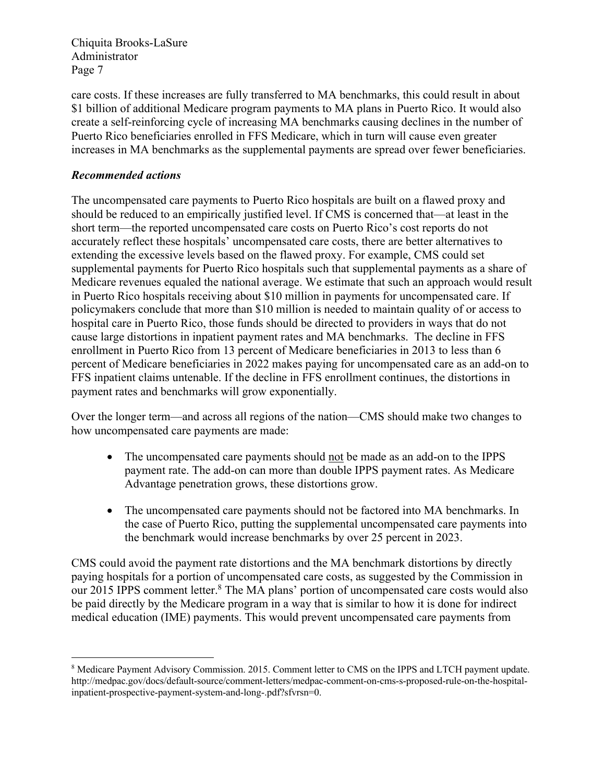care costs. If these increases are fully transferred to MA benchmarks, this could result in about \$1 billion of additional Medicare program payments to MA plans in Puerto Rico. It would also create a self-reinforcing cycle of increasing MA benchmarks causing declines in the number of Puerto Rico beneficiaries enrolled in FFS Medicare, which in turn will cause even greater increases in MA benchmarks as the supplemental payments are spread over fewer beneficiaries.

# *Recommended actions*

The uncompensated care payments to Puerto Rico hospitals are built on a flawed proxy and should be reduced to an empirically justified level. If CMS is concerned that—at least in the short term—the reported uncompensated care costs on Puerto Rico's cost reports do not accurately reflect these hospitals' uncompensated care costs, there are better alternatives to extending the excessive levels based on the flawed proxy. For example, CMS could set supplemental payments for Puerto Rico hospitals such that supplemental payments as a share of Medicare revenues equaled the national average. We estimate that such an approach would result in Puerto Rico hospitals receiving about \$10 million in payments for uncompensated care. If policymakers conclude that more than \$10 million is needed to maintain quality of or access to hospital care in Puerto Rico, those funds should be directed to providers in ways that do not cause large distortions in inpatient payment rates and MA benchmarks. The decline in FFS enrollment in Puerto Rico from 13 percent of Medicare beneficiaries in 2013 to less than 6 percent of Medicare beneficiaries in 2022 makes paying for uncompensated care as an add-on to FFS inpatient claims untenable. If the decline in FFS enrollment continues, the distortions in payment rates and benchmarks will grow exponentially.

Over the longer term—and across all regions of the nation—CMS should make two changes to how uncompensated care payments are made:

- The uncompensated care payments should not be made as an add-on to the IPPS payment rate. The add-on can more than double IPPS payment rates. As Medicare Advantage penetration grows, these distortions grow.
- The uncompensated care payments should not be factored into MA benchmarks. In the case of Puerto Rico, putting the supplemental uncompensated care payments into the benchmark would increase benchmarks by over 25 percent in 2023.

CMS could avoid the payment rate distortions and the MA benchmark distortions by directly paying hospitals for a portion of uncompensated care costs, as suggested by the Commission in our 2015 IPPS comment letter. <sup>8</sup> The MA plans' portion of uncompensated care costs would also be paid directly by the Medicare program in a way that is similar to how it is done for indirect medical education (IME) payments. This would prevent uncompensated care payments from

<sup>8</sup> Medicare Payment Advisory Commission. 2015. Comment letter to CMS on the IPPS and LTCH payment update. http://medpac.gov/docs/default-source/comment-letters/medpac-comment-on-cms-s-proposed-rule-on-the-hospitalinpatient-prospective-payment-system-and-long-.pdf?sfvrsn=0.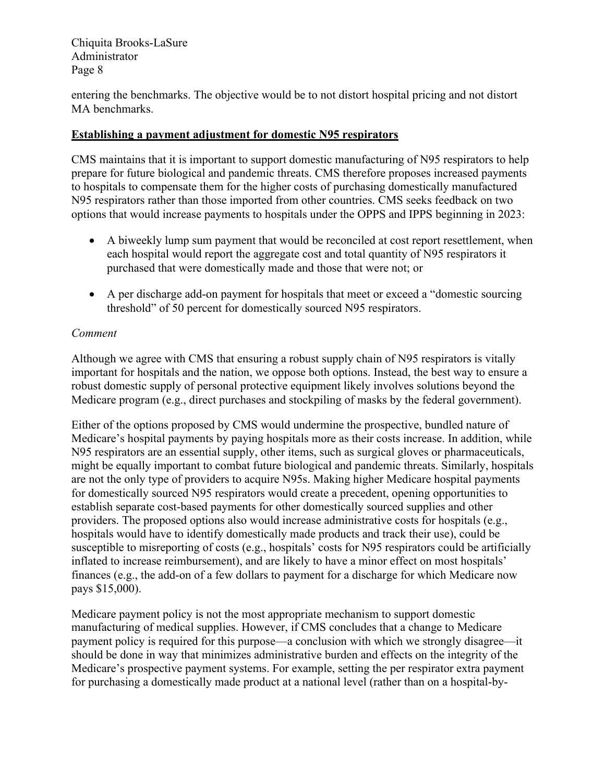entering the benchmarks. The objective would be to not distort hospital pricing and not distort MA benchmarks.

# **Establishing a payment adjustment for domestic N95 respirators**

CMS maintains that it is important to support domestic manufacturing of N95 respirators to help prepare for future biological and pandemic threats. CMS therefore proposes increased payments to hospitals to compensate them for the higher costs of purchasing domestically manufactured N95 respirators rather than those imported from other countries. CMS seeks feedback on two options that would increase payments to hospitals under the OPPS and IPPS beginning in 2023:

- A biweekly lump sum payment that would be reconciled at cost report resettlement, when each hospital would report the aggregate cost and total quantity of N95 respirators it purchased that were domestically made and those that were not; or
- A per discharge add-on payment for hospitals that meet or exceed a "domestic sourcing threshold" of 50 percent for domestically sourced N95 respirators.

# *Comment*

Although we agree with CMS that ensuring a robust supply chain of N95 respirators is vitally important for hospitals and the nation, we oppose both options. Instead, the best way to ensure a robust domestic supply of personal protective equipment likely involves solutions beyond the Medicare program (e.g., direct purchases and stockpiling of masks by the federal government).

Either of the options proposed by CMS would undermine the prospective, bundled nature of Medicare's hospital payments by paying hospitals more as their costs increase. In addition, while N95 respirators are an essential supply, other items, such as surgical gloves or pharmaceuticals, might be equally important to combat future biological and pandemic threats. Similarly, hospitals are not the only type of providers to acquire N95s. Making higher Medicare hospital payments for domestically sourced N95 respirators would create a precedent, opening opportunities to establish separate cost-based payments for other domestically sourced supplies and other providers. The proposed options also would increase administrative costs for hospitals (e.g., hospitals would have to identify domestically made products and track their use), could be susceptible to misreporting of costs (e.g., hospitals' costs for N95 respirators could be artificially inflated to increase reimbursement), and are likely to have a minor effect on most hospitals' finances (e.g., the add-on of a few dollars to payment for a discharge for which Medicare now pays \$15,000).

Medicare payment policy is not the most appropriate mechanism to support domestic manufacturing of medical supplies. However, if CMS concludes that a change to Medicare payment policy is required for this purpose—a conclusion with which we strongly disagree—it should be done in way that minimizes administrative burden and effects on the integrity of the Medicare's prospective payment systems. For example, setting the per respirator extra payment for purchasing a domestically made product at a national level (rather than on a hospital-by-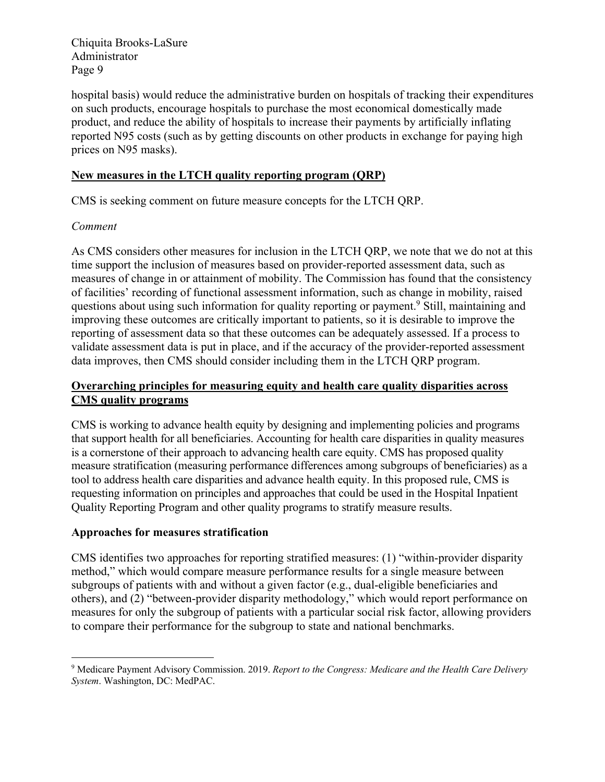hospital basis) would reduce the administrative burden on hospitals of tracking their expenditures on such products, encourage hospitals to purchase the most economical domestically made product, and reduce the ability of hospitals to increase their payments by artificially inflating reported N95 costs (such as by getting discounts on other products in exchange for paying high prices on N95 masks).

# **New measures in the LTCH quality reporting program (QRP)**

CMS is seeking comment on future measure concepts for the LTCH QRP.

## *Comment*

As CMS considers other measures for inclusion in the LTCH QRP, we note that we do not at this time support the inclusion of measures based on provider-reported assessment data, such as measures of change in or attainment of mobility. The Commission has found that the consistency of facilities' recording of functional assessment information, such as change in mobility, raised questions about using such information for quality reporting or payment.9 Still, maintaining and improving these outcomes are critically important to patients, so it is desirable to improve the reporting of assessment data so that these outcomes can be adequately assessed. If a process to validate assessment data is put in place, and if the accuracy of the provider-reported assessment data improves, then CMS should consider including them in the LTCH QRP program.

# **Overarching principles for measuring equity and health care quality disparities across CMS quality programs**

CMS is working to advance health equity by designing and implementing policies and programs that support health for all beneficiaries. Accounting for health care disparities in quality measures is a cornerstone of their approach to advancing health care equity. CMS has proposed quality measure stratification (measuring performance differences among subgroups of beneficiaries) as a tool to address health care disparities and advance health equity. In this proposed rule, CMS is requesting information on principles and approaches that could be used in the Hospital Inpatient Quality Reporting Program and other quality programs to stratify measure results.

# **Approaches for measures stratification**

CMS identifies two approaches for reporting stratified measures: (1) "within-provider disparity method," which would compare measure performance results for a single measure between subgroups of patients with and without a given factor (e.g., dual-eligible beneficiaries and others), and (2) "between-provider disparity methodology," which would report performance on measures for only the subgroup of patients with a particular social risk factor, allowing providers to compare their performance for the subgroup to state and national benchmarks.

<sup>9</sup> Medicare Payment Advisory Commission. 2019. *Report to the Congress: Medicare and the Health Care Delivery System*. Washington, DC: MedPAC.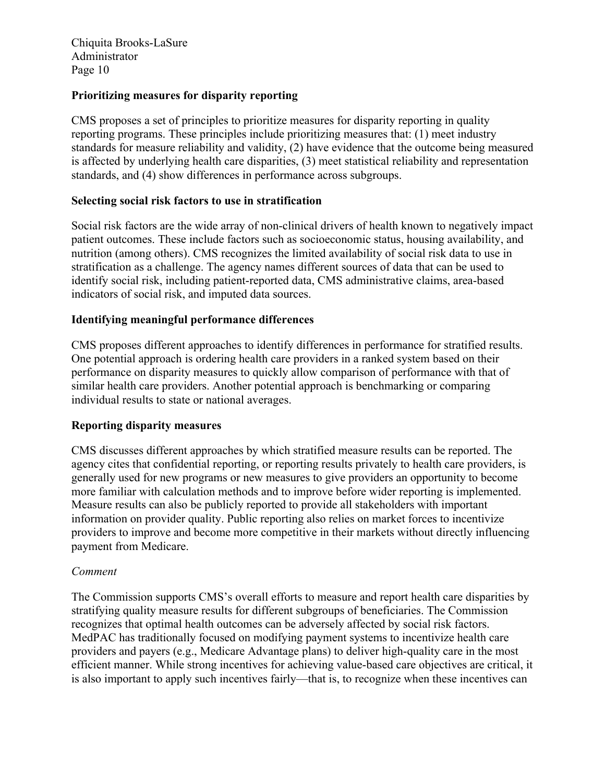## **Prioritizing measures for disparity reporting**

CMS proposes a set of principles to prioritize measures for disparity reporting in quality reporting programs. These principles include prioritizing measures that: (1) meet industry standards for measure reliability and validity, (2) have evidence that the outcome being measured is affected by underlying health care disparities, (3) meet statistical reliability and representation standards, and (4) show differences in performance across subgroups.

## **Selecting social risk factors to use in stratification**

Social risk factors are the wide array of non-clinical drivers of health known to negatively impact patient outcomes. These include factors such as socioeconomic status, housing availability, and nutrition (among others). CMS recognizes the limited availability of social risk data to use in stratification as a challenge. The agency names different sources of data that can be used to identify social risk, including patient-reported data, CMS administrative claims, area-based indicators of social risk, and imputed data sources.

## **Identifying meaningful performance differences**

CMS proposes different approaches to identify differences in performance for stratified results. One potential approach is ordering health care providers in a ranked system based on their performance on disparity measures to quickly allow comparison of performance with that of similar health care providers. Another potential approach is benchmarking or comparing individual results to state or national averages.

## **Reporting disparity measures**

CMS discusses different approaches by which stratified measure results can be reported. The agency cites that confidential reporting, or reporting results privately to health care providers, is generally used for new programs or new measures to give providers an opportunity to become more familiar with calculation methods and to improve before wider reporting is implemented. Measure results can also be publicly reported to provide all stakeholders with important information on provider quality. Public reporting also relies on market forces to incentivize providers to improve and become more competitive in their markets without directly influencing payment from Medicare.

## *Comment*

The Commission supports CMS's overall efforts to measure and report health care disparities by stratifying quality measure results for different subgroups of beneficiaries. The Commission recognizes that optimal health outcomes can be adversely affected by social risk factors. MedPAC has traditionally focused on modifying payment systems to incentivize health care providers and payers (e.g., Medicare Advantage plans) to deliver high-quality care in the most efficient manner. While strong incentives for achieving value-based care objectives are critical, it is also important to apply such incentives fairly—that is, to recognize when these incentives can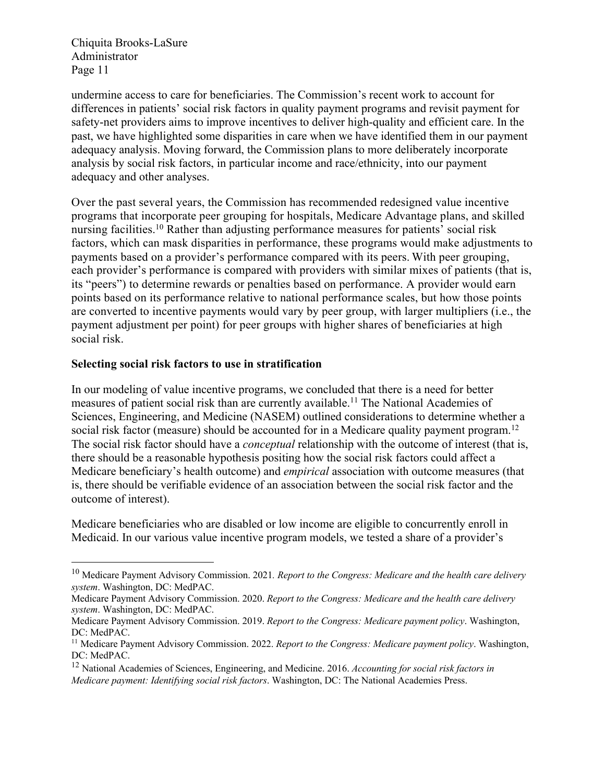undermine access to care for beneficiaries. The Commission's recent work to account for differences in patients' social risk factors in quality payment programs and revisit payment for safety-net providers aims to improve incentives to deliver high-quality and efficient care. In the past, we have highlighted some disparities in care when we have identified them in our payment adequacy analysis. Moving forward, the Commission plans to more deliberately incorporate analysis by social risk factors, in particular income and race/ethnicity, into our payment adequacy and other analyses.

Over the past several years, the Commission has recommended redesigned value incentive programs that incorporate peer grouping for hospitals, Medicare Advantage plans, and skilled nursing facilities.10 Rather than adjusting performance measures for patients' social risk factors, which can mask disparities in performance, these programs would make adjustments to payments based on a provider's performance compared with its peers. With peer grouping, each provider's performance is compared with providers with similar mixes of patients (that is, its "peers") to determine rewards or penalties based on performance. A provider would earn points based on its performance relative to national performance scales, but how those points are converted to incentive payments would vary by peer group, with larger multipliers (i.e., the payment adjustment per point) for peer groups with higher shares of beneficiaries at high social risk.

## **Selecting social risk factors to use in stratification**

In our modeling of value incentive programs, we concluded that there is a need for better measures of patient social risk than are currently available.<sup>11</sup> The National Academies of Sciences, Engineering, and Medicine (NASEM) outlined considerations to determine whether a social risk factor (measure) should be accounted for in a Medicare quality payment program.<sup>12</sup> The social risk factor should have a *conceptual* relationship with the outcome of interest (that is, there should be a reasonable hypothesis positing how the social risk factors could affect a Medicare beneficiary's health outcome) and *empirical* association with outcome measures (that is, there should be verifiable evidence of an association between the social risk factor and the outcome of interest).

Medicare beneficiaries who are disabled or low income are eligible to concurrently enroll in Medicaid. In our various value incentive program models, we tested a share of a provider's

<sup>10</sup> Medicare Payment Advisory Commission. 2021*. Report to the Congress: Medicare and the health care delivery system*. Washington, DC: MedPAC.

Medicare Payment Advisory Commission. 2020. *Report to the Congress: Medicare and the health care delivery system*. Washington, DC: MedPAC.

Medicare Payment Advisory Commission. 2019. *Report to the Congress: Medicare payment policy*. Washington, DC: MedPAC.

<sup>11</sup> Medicare Payment Advisory Commission. 2022. *Report to the Congress: Medicare payment policy*. Washington, DC: MedPAC.

<sup>12</sup> National Academies of Sciences, Engineering, and Medicine. 2016. *Accounting for social risk factors in Medicare payment: Identifying social risk factors*. Washington, DC: The National Academies Press.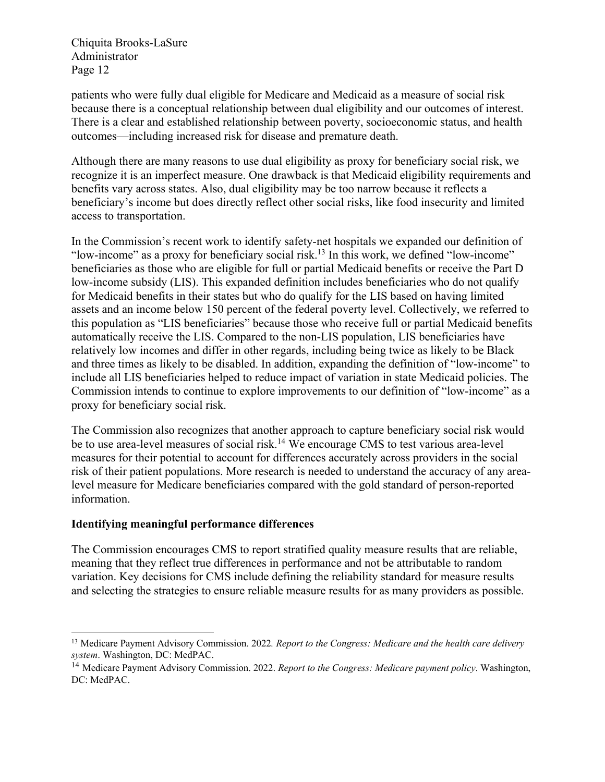patients who were fully dual eligible for Medicare and Medicaid as a measure of social risk because there is a conceptual relationship between dual eligibility and our outcomes of interest. There is a clear and established relationship between poverty, socioeconomic status, and health outcomes—including increased risk for disease and premature death.

Although there are many reasons to use dual eligibility as proxy for beneficiary social risk, we recognize it is an imperfect measure. One drawback is that Medicaid eligibility requirements and benefits vary across states. Also, dual eligibility may be too narrow because it reflects a beneficiary's income but does directly reflect other social risks, like food insecurity and limited access to transportation.

In the Commission's recent work to identify safety-net hospitals we expanded our definition of "low-income" as a proxy for beneficiary social risk.13 In this work, we defined "low-income" beneficiaries as those who are eligible for full or partial Medicaid benefits or receive the Part D low-income subsidy (LIS). This expanded definition includes beneficiaries who do not qualify for Medicaid benefits in their states but who do qualify for the LIS based on having limited assets and an income below 150 percent of the federal poverty level. Collectively, we referred to this population as "LIS beneficiaries" because those who receive full or partial Medicaid benefits automatically receive the LIS. Compared to the non-LIS population, LIS beneficiaries have relatively low incomes and differ in other regards, including being twice as likely to be Black and three times as likely to be disabled. In addition, expanding the definition of "low-income" to include all LIS beneficiaries helped to reduce impact of variation in state Medicaid policies. The Commission intends to continue to explore improvements to our definition of "low-income" as a proxy for beneficiary social risk.

The Commission also recognizes that another approach to capture beneficiary social risk would be to use area-level measures of social risk.<sup>14</sup> We encourage CMS to test various area-level measures for their potential to account for differences accurately across providers in the social risk of their patient populations. More research is needed to understand the accuracy of any arealevel measure for Medicare beneficiaries compared with the gold standard of person-reported information.

# **Identifying meaningful performance differences**

The Commission encourages CMS to report stratified quality measure results that are reliable, meaning that they reflect true differences in performance and not be attributable to random variation. Key decisions for CMS include defining the reliability standard for measure results and selecting the strategies to ensure reliable measure results for as many providers as possible.

<sup>13</sup> Medicare Payment Advisory Commission. 2022*. Report to the Congress: Medicare and the health care delivery system*. Washington, DC: MedPAC.

<sup>14</sup> Medicare Payment Advisory Commission. 2022. *Report to the Congress: Medicare payment policy*. Washington, DC: MedPAC.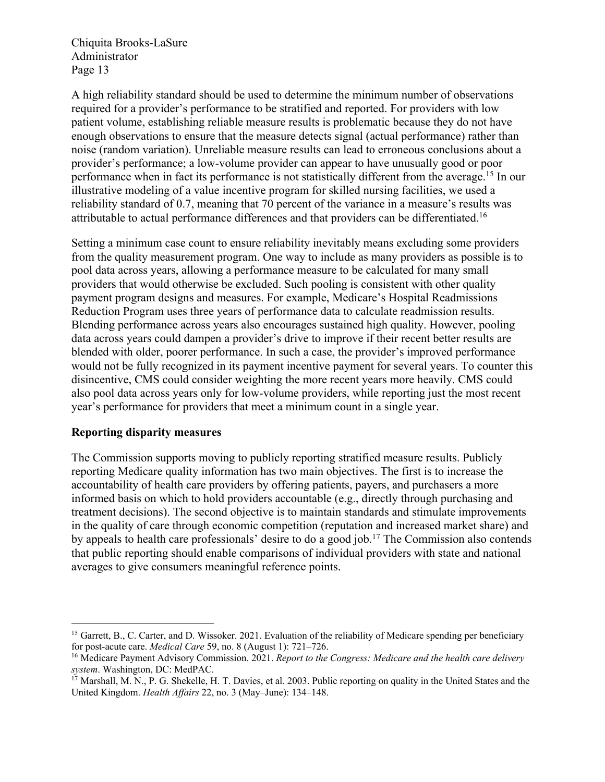A high reliability standard should be used to determine the minimum number of observations required for a provider's performance to be stratified and reported. For providers with low patient volume, establishing reliable measure results is problematic because they do not have enough observations to ensure that the measure detects signal (actual performance) rather than noise (random variation). Unreliable measure results can lead to erroneous conclusions about a provider's performance; a low-volume provider can appear to have unusually good or poor performance when in fact its performance is not statistically different from the average.15 In our illustrative modeling of a value incentive program for skilled nursing facilities, we used a reliability standard of 0.7, meaning that 70 percent of the variance in a measure's results was attributable to actual performance differences and that providers can be differentiated.16

Setting a minimum case count to ensure reliability inevitably means excluding some providers from the quality measurement program. One way to include as many providers as possible is to pool data across years, allowing a performance measure to be calculated for many small providers that would otherwise be excluded. Such pooling is consistent with other quality payment program designs and measures. For example, Medicare's Hospital Readmissions Reduction Program uses three years of performance data to calculate readmission results. Blending performance across years also encourages sustained high quality. However, pooling data across years could dampen a provider's drive to improve if their recent better results are blended with older, poorer performance. In such a case, the provider's improved performance would not be fully recognized in its payment incentive payment for several years. To counter this disincentive, CMS could consider weighting the more recent years more heavily. CMS could also pool data across years only for low-volume providers, while reporting just the most recent year's performance for providers that meet a minimum count in a single year.

## **Reporting disparity measures**

The Commission supports moving to publicly reporting stratified measure results. Publicly reporting Medicare quality information has two main objectives. The first is to increase the accountability of health care providers by offering patients, payers, and purchasers a more informed basis on which to hold providers accountable (e.g., directly through purchasing and treatment decisions). The second objective is to maintain standards and stimulate improvements in the quality of care through economic competition (reputation and increased market share) and by appeals to health care professionals' desire to do a good job.17 The Commission also contends that public reporting should enable comparisons of individual providers with state and national averages to give consumers meaningful reference points.

<sup>&</sup>lt;sup>15</sup> Garrett, B., C. Carter, and D. Wissoker. 2021. Evaluation of the reliability of Medicare spending per beneficiary for post-acute care. *Medical Care* 59, no. 8 (August 1): 721–726.

<sup>16</sup> Medicare Payment Advisory Commission. 2021. *Report to the Congress: Medicare and the health care delivery system*. Washington, DC: MedPAC.

 $17$  Marshall, M. N., P. G. Shekelle, H. T. Davies, et al. 2003. Public reporting on quality in the United States and the United Kingdom. *Health Affairs* 22, no. 3 (May–June): 134–148.